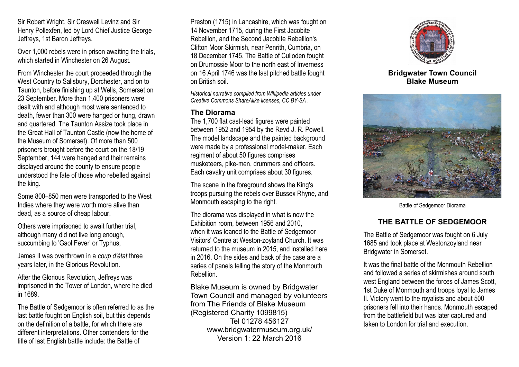Sir Robert Wright, Sir Creswell Levinz and Sir Henry Pollexfen, led by Lord Chief Justice George Jeffreys, 1st Baron Jeffreys.

Over 1,000 rebels were in prison awaiting the trials, which started in Winchester on 26 August.

From Winchester the court proceeded through the West Country to Salisbury, Dorchester, and on to Taunton, before finishing up at Wells, Somerset on 23 September. More than 1,400 prisoners were dealt with and although most were sentenced to death, fewer than 300 were hanged or hung, drawn and quartered. The Taunton Assize took place in the Great Hall of Taunton Castle (now the home of the Museum of Somerset). Of more than 500 prisoners brought before the court on the 18/19 September, 144 were hanged and their remains displayed around the county to ensure people understood the fate of those who rebelled against the king.

Some 800–850 men were transported to the West Indies where they were worth more alive than dead, as a source of cheap labour.

Others were imprisoned to await further trial, although many did not live long enough, succumbing to 'Gaol Fever' or Typhus,

James II was overthrown in a *coup d'état* three years later, in the Glorious Revolution.

After the Glorious Revolution, Jeffreys was imprisoned in the Tower of London, where he died in 1689.

The Battle of Sedgemoor is often referred to as the last battle fought on English soil, but this depends on the definition of a battle, for which there are different interpretations. Other contenders for the title of last English battle include: the Battle of

Preston (1715) in Lancashire, which was fought on 14 November 1715, during the First Jacobite Rebellion, and the Second Jacobite Rebellion's Clifton Moor Skirmish, near Penrith, Cumbria, on 18 December 1745. The Battle of Culloden fought on Drumossie Moor to the north east of Inverness on 16 April 1746 was the last pitched battle fought on British soil.

*Historical narrative compiled from Wikipedia articles under Creative Commons ShareAlike licenses, CC BY-SA .*

#### **The Diorama**

The 1,700 flat cast-lead figures were painted between 1952 and 1954 by the Revd J. R. Powell. The model landscape and the painted background were made by a professional model-maker. Each regiment of about 50 figures comprises musketeers, pike-men, drummers and officers. Each cavalry unit comprises about 30 figures.

The scene in the foreground shows the King's troops pursuing the rebels over Bussex Rhyne, and Monmouth escaping to the right.

The diorama was displayed in what is now the Exhibition room, between 1956 and 2010, when it was loaned to the Battle of Sedgemoor Visitors' Centre at Weston-zoyland Church. It was returned to the museum in 2015, and installed here in 2016. On the sides and back of the case are a series of panels telling the story of the Monmouth Rebellion.

Blake Museum is owned by Bridgwater Town Council and managed by volunteers from The Friends of Blake Museum (Registered Charity 1099815) Tel 01278 456127 www.bridgwatermuseum.org.uk/ Version 1: 22 March 2016



**Bridgwater Town Council Blake Museum**



Battle of Sedgemoor Diorama

## **THE BATTLE OF SEDGEMOOR**

The Battle of Sedgemoor was fought on 6 July 1685 and took place at Westonzoyland near Bridgwater in Somerset.

It was the final battle of the Monmouth Rebellion and followed a series of skirmishes around south west England between the forces of James Scott, 1st Duke of Monmouth and troops loyal to James II. Victory went to the royalists and about 500 prisoners fell into their hands. Monmouth escaped from the battlefield but was later captured and taken to London for trial and execution.